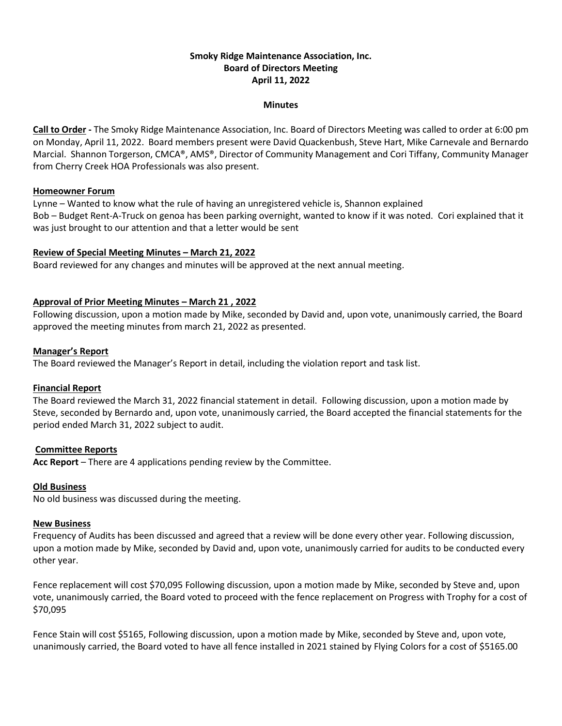# **Smoky Ridge Maintenance Association, Inc. Board of Directors Meeting April 11, 2022**

#### **Minutes**

**Call to Order -** The Smoky Ridge Maintenance Association, Inc. Board of Directors Meeting was called to order at 6:00 pm on Monday, April 11, 2022. Board members present were David Quackenbush, Steve Hart, Mike Carnevale and Bernardo Marcial. Shannon Torgerson, CMCA®, AMS®, Director of Community Management and Cori Tiffany, Community Manager from Cherry Creek HOA Professionals was also present.

### **Homeowner Forum**

Lynne – Wanted to know what the rule of having an unregistered vehicle is, Shannon explained Bob – Budget Rent-A-Truck on genoa has been parking overnight, wanted to know if it was noted. Cori explained that it was just brought to our attention and that a letter would be sent

## **Review of Special Meeting Minutes – March 21, 2022**

Board reviewed for any changes and minutes will be approved at the next annual meeting.

## **Approval of Prior Meeting Minutes – March 21 , 2022**

Following discussion, upon a motion made by Mike, seconded by David and, upon vote, unanimously carried, the Board approved the meeting minutes from march 21, 2022 as presented.

#### **Manager's Report**

The Board reviewed the Manager's Report in detail, including the violation report and task list.

## **Financial Report**

The Board reviewed the March 31, 2022 financial statement in detail. Following discussion, upon a motion made by Steve, seconded by Bernardo and, upon vote, unanimously carried, the Board accepted the financial statements for the period ended March 31, 2022 subject to audit.

#### **Committee Reports**

**Acc Report** – There are 4 applications pending review by the Committee.

## **Old Business**

No old business was discussed during the meeting.

#### **New Business**

Frequency of Audits has been discussed and agreed that a review will be done every other year. Following discussion, upon a motion made by Mike, seconded by David and, upon vote, unanimously carried for audits to be conducted every other year.

Fence replacement will cost \$70,095 Following discussion, upon a motion made by Mike, seconded by Steve and, upon vote, unanimously carried, the Board voted to proceed with the fence replacement on Progress with Trophy for a cost of \$70,095

Fence Stain will cost \$5165, Following discussion, upon a motion made by Mike, seconded by Steve and, upon vote, unanimously carried, the Board voted to have all fence installed in 2021 stained by Flying Colors for a cost of \$5165.00